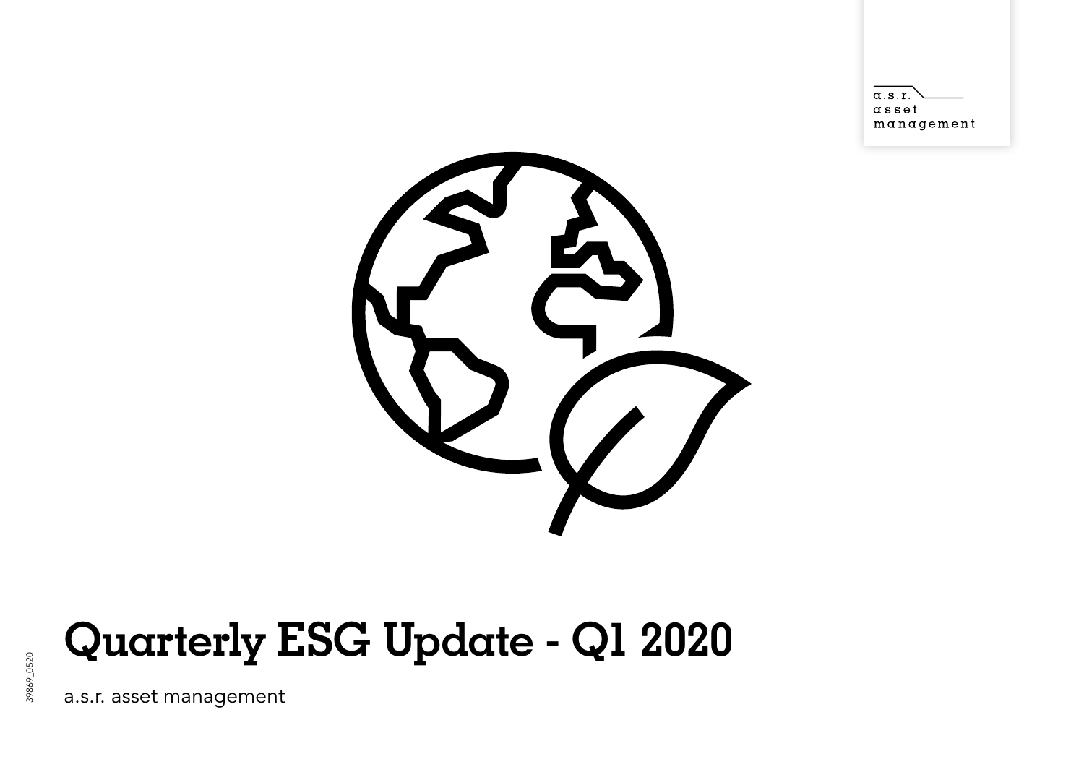$\alpha$ .s.r.  $\alpha$  s s e t  $m$ anagement



# **Quarterly ESG Update - Q1 2020**

a.s.r. asset management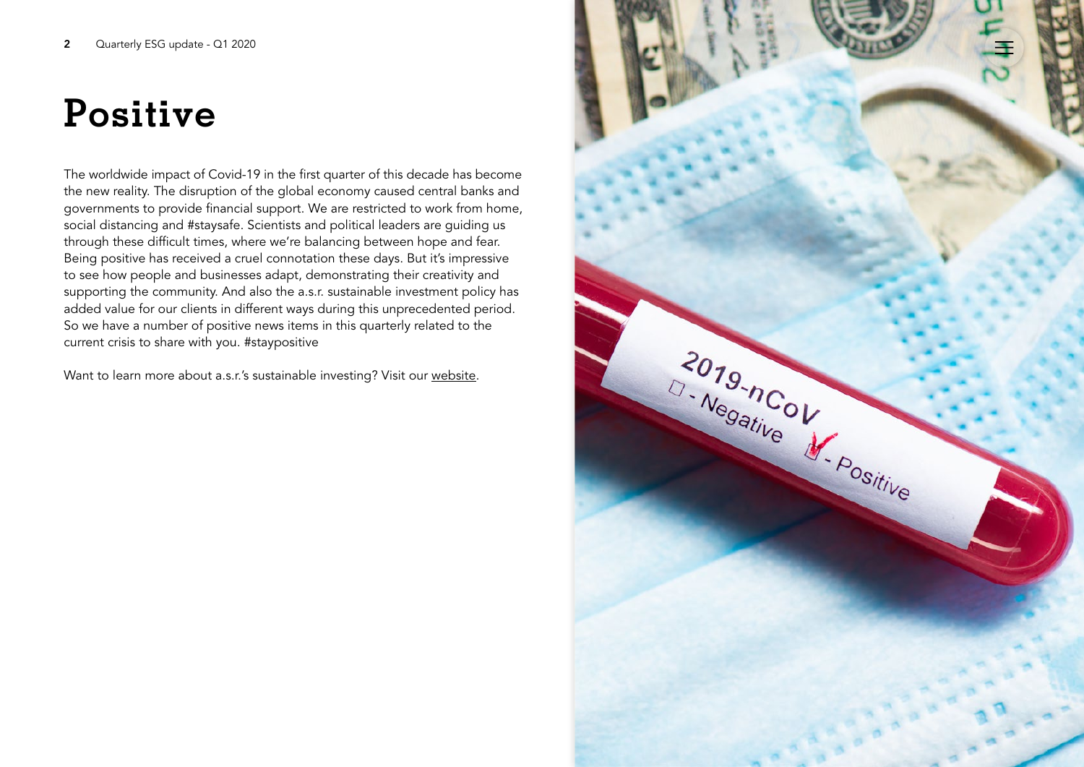# **Positive**

The worldwide impact of Covid-19 in the first quarter of this decade has become the new reality. The disruption of the global economy caused central banks and governments to provide financial support. We are restricted to work from home, social distancing and #staysafe. Scientists and political leaders are guiding us through these difficult times, where we're balancing between hope and fear. Being positive has received a cruel connotation these days. But it's impressive to see how people and businesses adapt, demonstrating their creativity and supporting the community. And also the a.s.r. sustainable investment policy has added value for our clients in different ways during this unprecedented period. So we have a number of positive news items in this quarterly related to the current crisis to share with you. #staypositive

Want to learn more about a.s.r.'s sustainable investing? Visit our [website.](https://www.asrnl.com/about-asr/sustainable-business?_ga=2.129441999.2108019036.1548231298-696801481.1535444204)

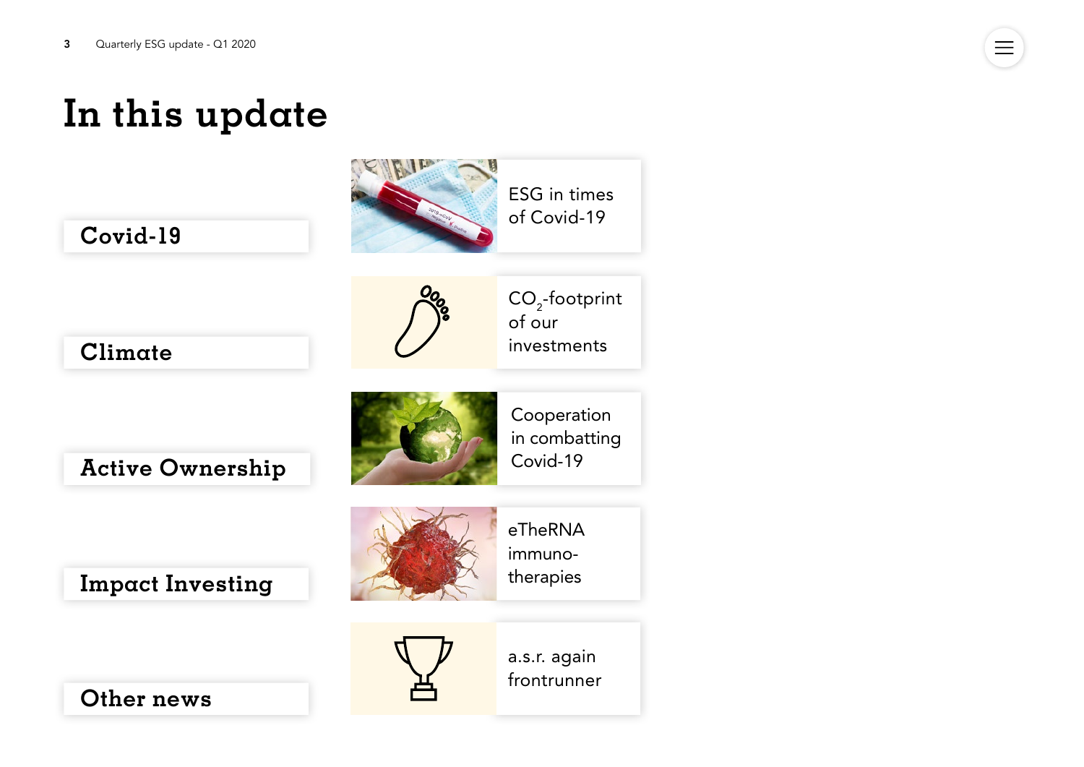## **In this update**



 $\equiv$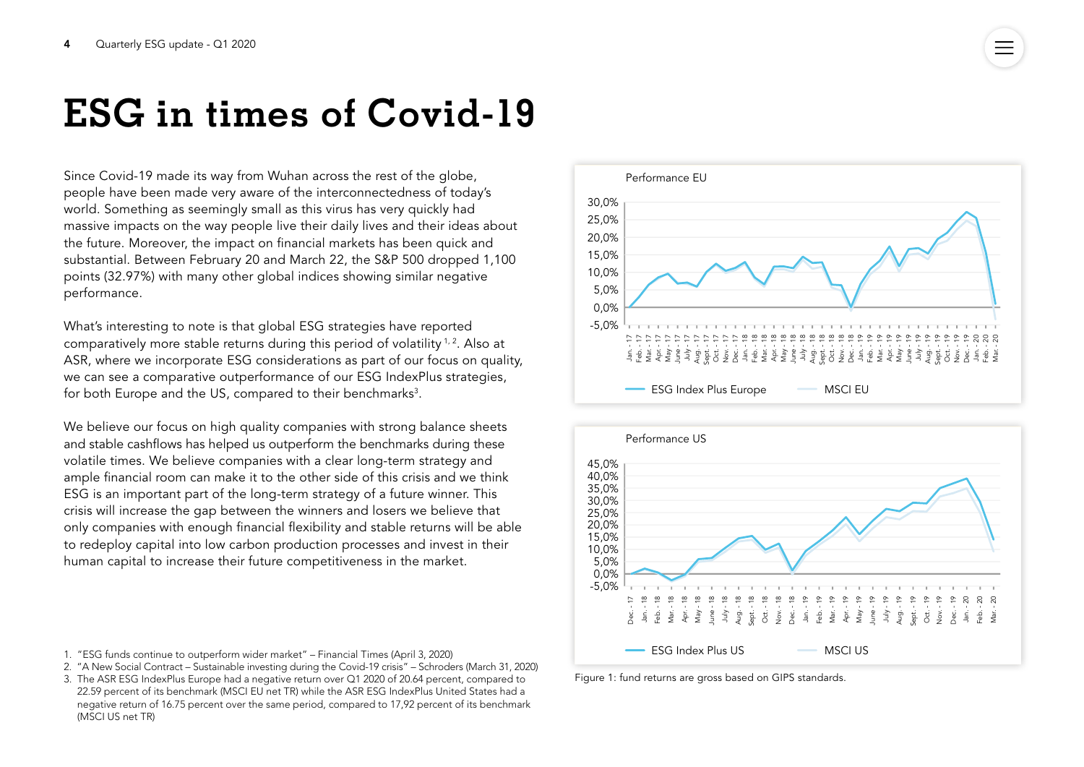## <span id="page-3-0"></span>**ESG in times of Covid-19**

Since Covid-19 made its way from Wuhan across the rest of the globe, people have been made very aware of the interconnectedness of today's world. Something as seemingly small as this virus has very quickly had massive impacts on the way people live their daily lives and their ideas about the future. Moreover, the impact on financial markets has been quick and substantial. Between February 20 and March 22, the S&P 500 dropped 1,100 points (32.97%) with many other global indices showing similar negative performance.

What's interesting to note is that global ESG strategies have reported comparatively more stable returns during this period of volatility  $1/2$ . Also at ASR, where we incorporate ESG considerations as part of our focus on quality, we can see a comparative outperformance of our ESG IndexPlus strategies, for both Europe and the US, compared to their benchmarks $^{\rm 3}.$ 

We believe our focus on high quality companies with strong balance sheets and stable cashflows has helped us outperform the benchmarks during these volatile times. We believe companies with a clear long-term strategy and ample financial room can make it to the other side of this crisis and we think ESG is an important part of the long-term strategy of a future winner. This crisis will increase the gap between the winners and losers we believe that only companies with enough financial flexibility and stable returns will be able to redeploy capital into low carbon production processes and invest in their human capital to increase their future competitiveness in the market.



- 2. "[A New Social Contract Sustainable investing during the Covid-19 crisis](https://www.schroders.com/en/uk/private-investor/insights/markets/a-new-social-contract---sustainable-investing-during-the-covid-19-crisis/)" Schroders (March 31, 2020)
- 3. The ASR ESG IndexPlus Europe had a negative return over Q1 2020 of 20.64 percent, compared to 22.59 percent of its benchmark (MSCI EU net TR) while the ASR ESG IndexPlus United States had a negative return of 16.75 percent over the same period, compared to 17,92 percent of its benchmark (MSCI US net TR)





Figure 1: fund returns are gross based on GIPS standards.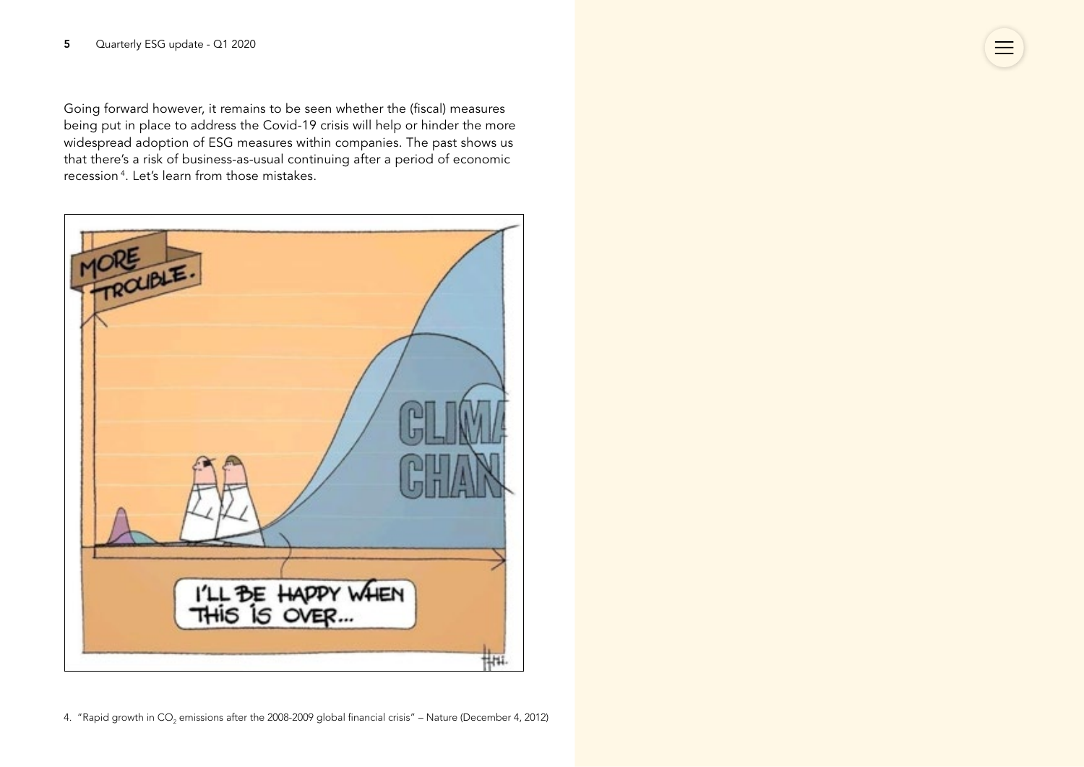Going forward however, it remains to be seen whether the (fiscal) measures being put in place to address the Covid-19 crisis will help or hinder the more widespread adoption of ESG measures within companies. The past shows us that there's a risk of business-as-usual continuing after a period of economic recession 4. Let's learn from those mistakes.

 $\equiv$ 

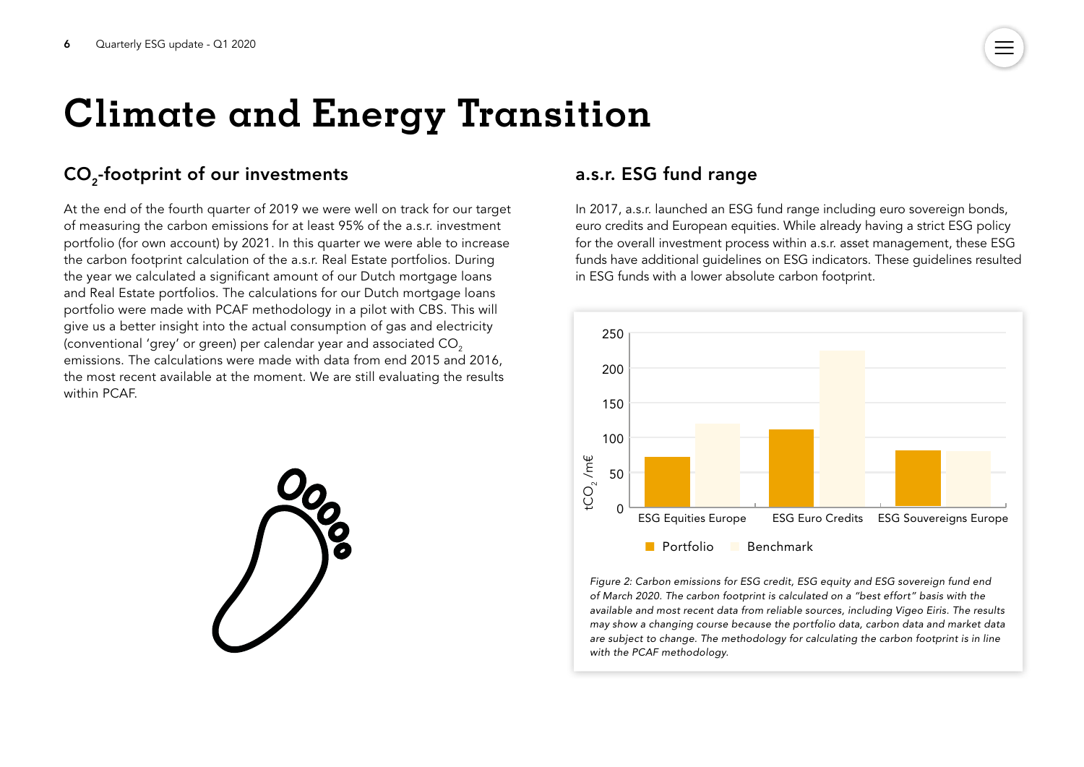# <span id="page-5-0"></span>**Climate and Energy Transition**

### CO<sub>2</sub>-footprint of our investments

At the end of the fourth quarter of 2019 we were well on track for our target of measuring the carbon emissions for at least 95% of the a.s.r. investment portfolio (for own account) by 2021. In this quarter we were able to increase the carbon footprint calculation of the a.s.r. Real Estate portfolios. During the year we calculated a significant amount of our Dutch mortgage loans and Real Estate portfolios. The calculations for our Dutch mortgage loans portfolio were made with PCAF methodology in a pilot with CBS. This will give us a better insight into the actual consumption of gas and electricity (conventional 'grey' or green) per calendar year and associated CO<sub>2</sub> emissions. The calculations were made with data from end 2015 and 2016, the most recent available at the moment. We are still evaluating the results within PCAF.



### a.s.r. ESG fund range

In 2017, a.s.r. launched an ESG fund range including euro sovereign bonds, euro credits and European equities. While already having a strict ESG policy for the overall investment process within a.s.r. asset management, these ESG funds have additional guidelines on ESG indicators. These guidelines resulted in ESG funds with a lower absolute carbon footprint.



*Figure 2: Carbon emissions for ESG credit, ESG equity and ESG sovereign fund end of March 2020. The carbon footprint is calculated on a "best effort" basis with the available and most recent data from reliable sources, including Vigeo Eiris. The results may show a changing course because the portfolio data, carbon data and market data are subject to change. The methodology for calculating the carbon footprint is in line*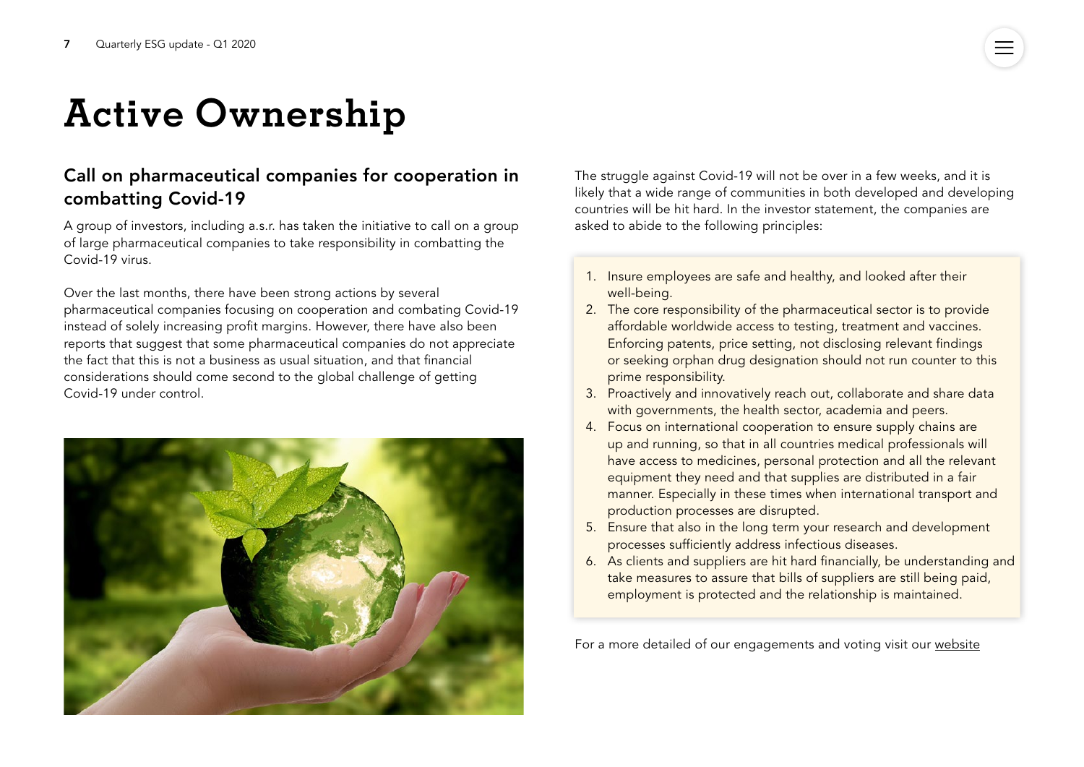# <span id="page-6-0"></span>**Active Ownership**

### Call on pharmaceutical companies for cooperation in combatting Covid-19

A group of investors, including a.s.r. has taken the initiative to call on a group of large pharmaceutical companies to take responsibility in combatting the Covid-19 virus.

Over the last months, there have been strong actions by several pharmaceutical companies focusing on cooperation and combating Covid-19 instead of solely increasing profit margins. However, there have also been reports that suggest that some pharmaceutical companies do not appreciate the fact that this is not a business as usual situation, and that financial considerations should come second to the global challenge of getting Covid-19 under control.



The struggle against Covid-19 will not be over in a few weeks, and it is likely that a wide range of communities in both developed and developing countries will be hit hard. In the investor statement, the companies are asked to abide to the following principles:

- 1. Insure employees are safe and healthy, and looked after their well-being.
- 2. The core responsibility of the pharmaceutical sector is to provide affordable worldwide access to testing, treatment and vaccines. Enforcing patents, price setting, not disclosing relevant findings or seeking orphan drug designation should not run counter to this prime responsibility.
- 3. Proactively and innovatively reach out, collaborate and share data with governments, the health sector, academia and peers.
- 4. Focus on international cooperation to ensure supply chains are up and running, so that in all countries medical professionals will have access to medicines, personal protection and all the relevant equipment they need and that supplies are distributed in a fair manner. Especially in these times when international transport and production processes are disrupted.
- 5. Ensure that also in the long term your research and development processes sufficiently address infectious diseases.
- 6. As clients and suppliers are hit hard financially, be understanding and take measures to assure that bills of suppliers are still being paid, employment is protected and the relationship is maintained.

For a more detailed of our engagements and voting visit our [website](https://www.asrnl.com/about-asr/sustainable-business?_ga=2.129441999.2108019036.1548231298-696801481.1535444204)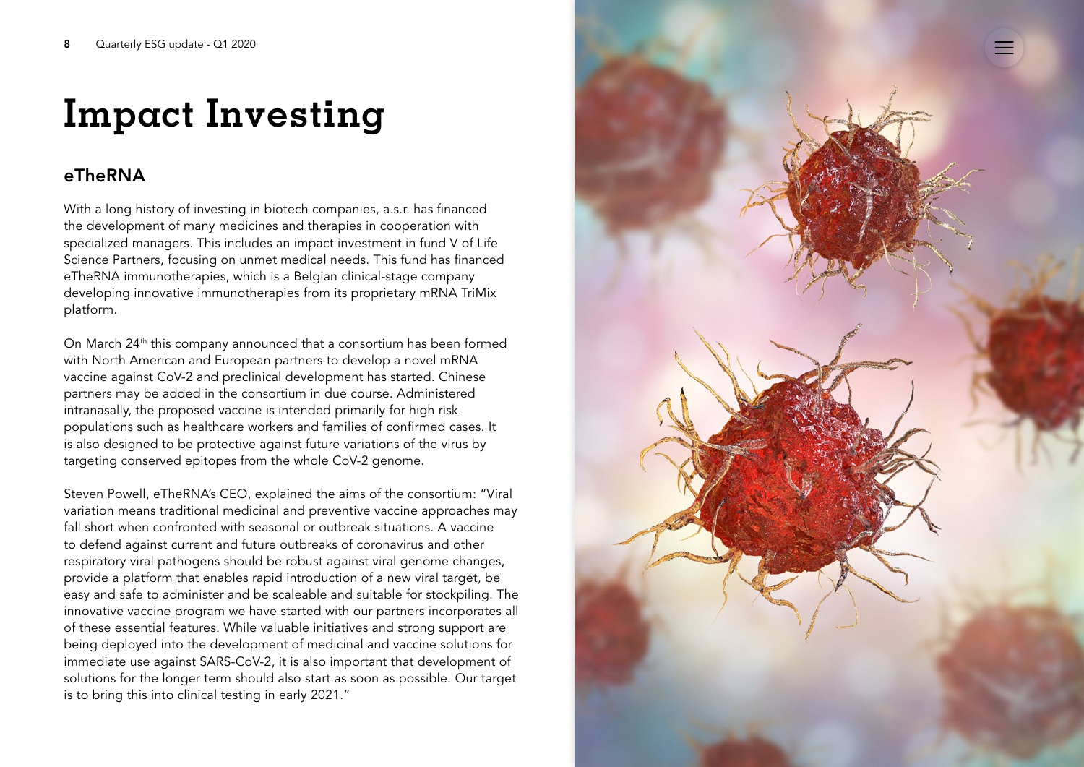# <span id="page-7-0"></span>**Impact Investing**

### eTheRNA

With a long history of investing in biotech companies, a.s.r. has financed the development of many medicines and therapies in cooperation with specialized managers. This includes an impact investment in fund V of Life Science Partners, focusing on unmet medical needs. This fund has financed eTheRNA immunotherapies, which is a Belgian clinical-stage company developing innovative immunotherapies from its proprietary mRNA TriMix platform.

On March 24<sup>th</sup> this company announced that a consortium has been formed with North American and European partners to develop a novel mRNA vaccine against CoV-2 and preclinical development has started. Chinese partners may be added in the consortium in due course. Administered intranasally, the proposed vaccine is intended primarily for high risk populations such as healthcare workers and families of confirmed cases. It is also designed to be protective against future variations of the virus by targeting conserved epitopes from the whole CoV-2 genome.

Steven Powell, eTheRNA's CEO, explained the aims of the consortium: "Viral variation means traditional medicinal and preventive vaccine approaches may fall short when confronted with seasonal or outbreak situations. A vaccine to defend against current and future outbreaks of coronavirus and other respiratory viral pathogens should be robust against viral genome changes, provide a platform that enables rapid introduction of a new viral target, be easy and safe to administer and be scaleable and suitable for stockpiling. The innovative vaccine program we have started with our partners incorporates all of these essential features. While valuable initiatives and strong support are being deployed into the development of medicinal and vaccine solutions for immediate use against SARS-CoV-2, it is also important that development of solutions for the longer term should also start as soon as possible. Our target is to bring this into clinical testing in early 2021."

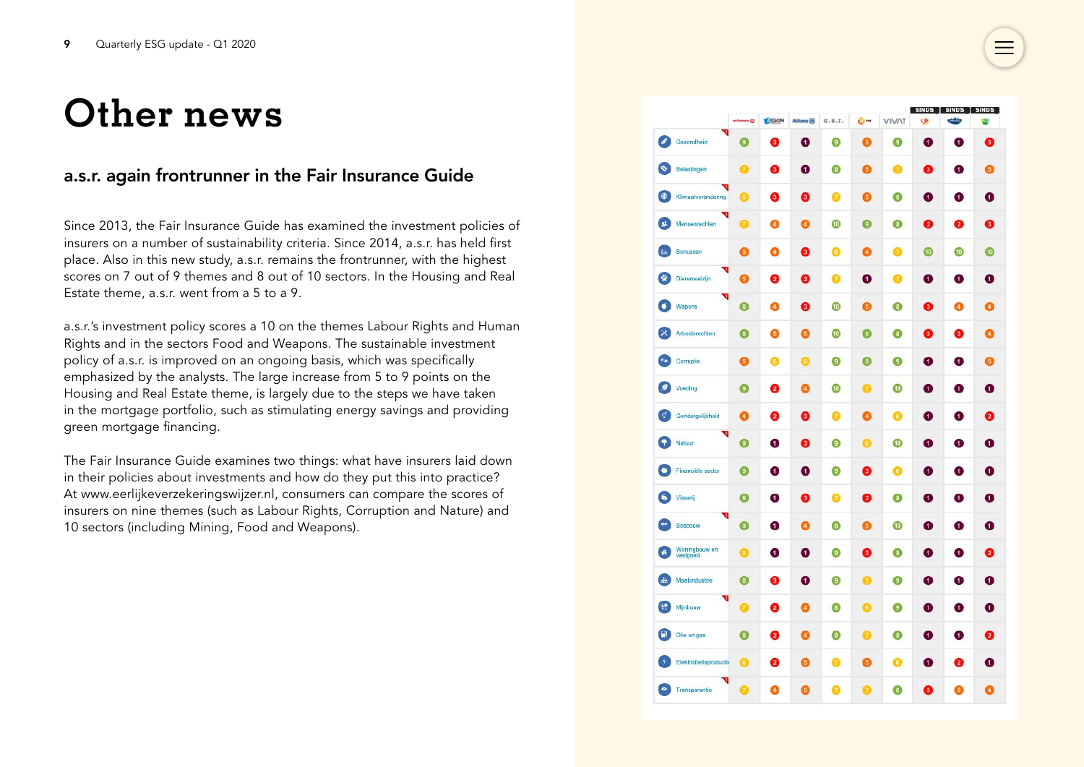## <span id="page-8-0"></span>**Other news**

### a.s.r. again frontrunner in the Fair Insurance Guide

Since 2013, the Fair Insurance Guide has examined the investment policies of insurers on a number of sustainability criteria. Since 2014, a.s.r. has held first place. Also in this new study, a.s.r. remains the frontrunner, with the highest scores on 7 out of 9 themes and 8 out of 10 sectors. In the Housing and Real Estate theme, a.s.r. went from a 5 to a 9.

a.s.r.'s investment policy scores a 10 on the themes Labour Rights and Human Rights and in the sectors Food and Weapons. The sustainable investment policy of a.s.r. is improved on an ongoing basis, which was specifically emphasized by the analysts. The large increase from 5 to 9 points on the Housing and Real Estate theme, is largely due to the steps we have taken in the mortgage portfolio, such as stimulating energy savings and providing green mortgage financing.

The Fair Insurance Guide examines two things: what have insurers laid down in their policies about investments and how do they put this into practice? At www.eerlijkeverzekeringswijzer.nl, consumers can compare the scores of insurers on nine themes (such as Labour Rights, Corruption and Nature) and 10 sectors (including Mining, Food and Weapons).

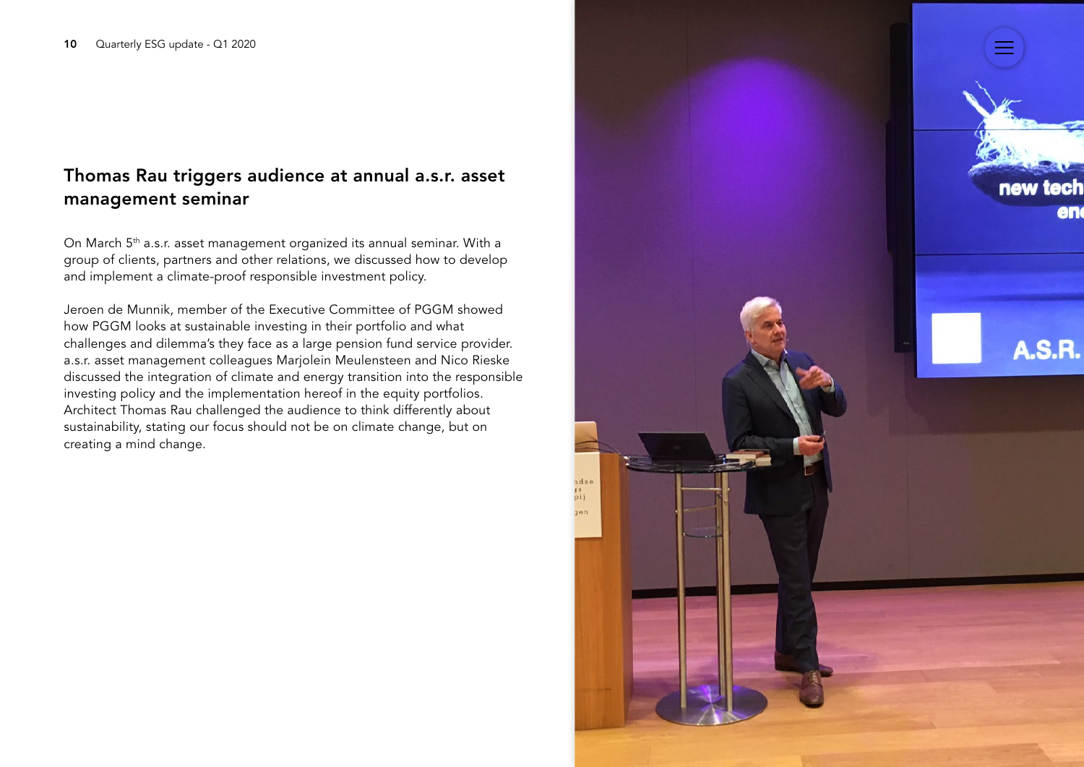### Thomas Rau triggers audience at annual a.s.r. asset management seminar

On March 5<sup>th</sup> a.s.r. asset management organized its annual seminar. With a group of clients, partners and other relations, we discussed how to develop and implement a climate-proof responsible investment policy.

Jeroen de Munnik, member of the Executive Committee of PGGM showed how PGGM looks at sustainable investing in their portfolio and what challenges and dilemma's they face as a large pension fund service provider. a.s.r. asset management colleagues Marjolein Meulensteen and Nico Rieske discussed the integration of climate and energy transition into the responsible investing policy and the implementation hereof in the equity portfolios. Architect Thomas Rau challenged the audience to think differently about sustainability, stating our focus should not be on climate change, but on creating a mind change.